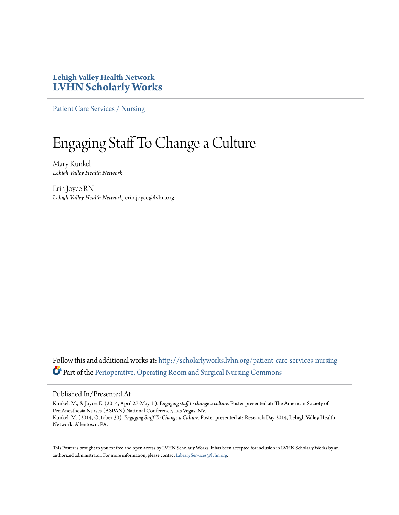### **Lehigh Valley Health Network [LVHN Scholarly Works](http://scholarlyworks.lvhn.org?utm_source=scholarlyworks.lvhn.org%2Fpatient-care-services-nursing%2F319&utm_medium=PDF&utm_campaign=PDFCoverPages)**

[Patient Care Services / Nursing](http://scholarlyworks.lvhn.org/patient-care-services-nursing?utm_source=scholarlyworks.lvhn.org%2Fpatient-care-services-nursing%2F319&utm_medium=PDF&utm_campaign=PDFCoverPages)

### Engaging Staff To Change a Culture

Mary Kunkel *Lehigh Valley Health Network*

Erin Joyce RN *Lehigh Valley Health Network*, erin.joyce@lvhn.org

Follow this and additional works at: [http://scholarlyworks.lvhn.org/patient-care-services-nursing](http://scholarlyworks.lvhn.org/patient-care-services-nursing?utm_source=scholarlyworks.lvhn.org%2Fpatient-care-services-nursing%2F319&utm_medium=PDF&utm_campaign=PDFCoverPages) Part of the [Perioperative, Operating Room and Surgical Nursing Commons](http://network.bepress.com/hgg/discipline/726?utm_source=scholarlyworks.lvhn.org%2Fpatient-care-services-nursing%2F319&utm_medium=PDF&utm_campaign=PDFCoverPages)

### Published In/Presented At

Kunkel, M., & Joyce, E. (2014, April 27-May 1 ). E*ngaging staff to change a culture.* Poster presented at: The American Society of PeriAnesthesia Nurses (ASPAN) National Conference, Las Vegas, NV. Kunkel, M. (2014, October 30). *Engaging Staff To Change a Culture.* Poster presented at: Research Day 2014, Lehigh Valley Health Network, Allentown, PA.

This Poster is brought to you for free and open access by LVHN Scholarly Works. It has been accepted for inclusion in LVHN Scholarly Works by an authorized administrator. For more information, please contact [LibraryServices@lvhn.org.](mailto:LibraryServices@lvhn.org)